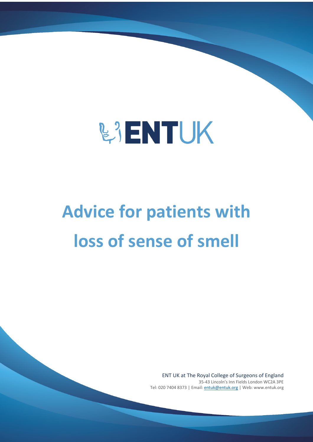

# **Advice for patients with loss of sense of smell**

ENT UK at The Royal College of Surgeons of England 35-43 Lincoln's Inn Fields London WC2A 3PE Tel: 020 7404 8373 | Email: [entuk@entuk.org](mailto:entuk@entuk.org) | Web: www.entuk.org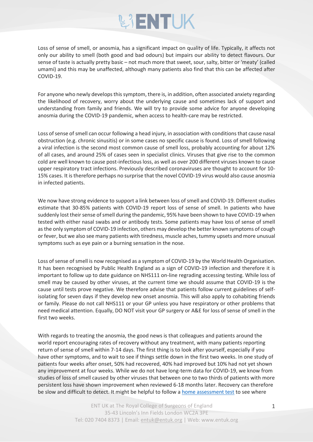## **BIENTUK**

Loss of sense of smell, or anosmia, has a significant impact on quality of life. Typically, it affects not only our ability to smell (both good and bad odours) but impairs our ability to detect flavours. Our sense of taste is actually pretty basic – not much more that sweet, sour, salty, bitter or 'meaty' (called umami) and this may be unaffected, although many patients also find that this can be affected after COVID-19.

For anyone who newly develops this symptom, there is, in addition, often associated anxiety regarding the likelihood of recovery, worry about the underlying cause and sometimes lack of support and understanding from family and friends. We will try to provide some advice for anyone developing anosmia during the COVID-19 pandemic, when access to health-care may be restricted.

Loss of sense of smell can occur following a head injury, in association with conditions that cause nasal obstruction (e.g. chronic sinusitis) or in some cases no specific cause is found. Loss of smell following a viral infection is the second most common cause of smell loss, probably accounting for about 12% of all cases, and around 25% of cases seen in specialist clinics. Viruses that give rise to the common cold are well known to cause post-infectious loss, as well as over 200 different viruses known to cause upper respiratory tract infections. Previously described coronaviruses are thought to account for 10- 15% cases. It is therefore perhaps no surprise that the novel COVID-19 virus would also cause anosmia in infected patients.

We now have strong evidence to support a link between loss of smell and COVID-19. Different studies estimate that 30-85% patients with COVID-19 report loss of sense of smell. In patients who have suddenly lost their sense of smell during the pandemic, 95% have been shown to have COVID-19 when tested with either nasal swabs and or antibody tests. Some patients may have loss of sense of smell as the only symptom of COVID-19 infection, others may develop the better known symptoms of cough or fever, but we also see many patients with tiredness, muscle aches, tummy upsets and more unusual symptoms such as eye pain or a burning sensation in the nose.

Loss of sense of smell is now recognised as a symptom of COVID-19 by the World Health Organisation. It has been recognised by Public Health England as a sign of COVID-19 infection and therefore it is important to follow up to date guidance on NHS111 on-line regrading accessing testing. While loss of smell may be caused by other viruses, at the current time we should assume that COVID-19 is the cause until tests prove negative. We therefore advise that patients follow current guidelines of selfisolating for seven days if they develop new onset anosmia. This will also apply to cohabiting friends or family. Please do not call NHS111 or your GP unless you have respiratory or other problems that need medical attention. Equally, DO NOT visit your GP surgery or A&E for loss of sense of smell in the first two weeks.

With regards to treating the anosmia, the good news is that colleagues and patients around the world report encouraging rates of recovery without any treatment, with many patients reporting return of sense of smell within 7-14 days. The first thing is to look after yourself, especially if you have other symptoms, and to wait to see if things settle down in the first two weeks. In one study of patients four weeks after onset, 50% had recovered, 40% had improved but 10% had not yet shown any improvement at four weeks. While we do not have long-term data for COVID-19, we know from studies of loss of smell caused by other viruses that between one to two thirds of patients with more persistent loss have shown improvement when reviewed 6-18 months later. Recovery can therefore be slow and difficult to detect. It might be helpful to follow [a home assessment test](https://abscent.org/application/files/5515/7532/6861/Self_assessment.pdf) to see where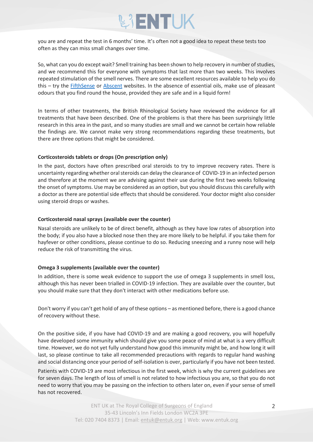### **BIENTUK**

you are and repeat the test in 6 months' time. It's often not a good idea to repeat these tests too often as they can miss small changes over time.

So, what can you do except wait? Smell training has been shown to help recovery in number of studies, and we recommend this for everyone with symptoms that last more than two weeks. This involves repeated stimulation of the smell nerves. There are some excellent resources available to help you do this – try the [FifthSense](http://www.fifthsense.org.uk/smell-training) or [Abscent](file://///DCAPP01/Company%20Data/JP/COVID-19/abscent.org) websites. In the absence of essential oils, make use of pleasant odours that you find round the house, provided they are safe and in a liquid form!

In terms of other treatments, the British Rhinological Society have reviewed the evidence for all treatments that have been described. One of the problems is that there has been surprisingly little research in this area in the past, and so many studies are small and we cannot be certain how reliable the findings are. We cannot make very strong recommendations regarding these treatments, but there are three options that might be considered.

#### **Corticosteroids tablets or drops (On prescription only)**

In the past, doctors have often prescribed oral steroids to try to improve recovery rates. There is uncertainty regarding whether oral steroids can delay the clearance of COVID-19 in an infected person and therefore at the moment we are advising against their use during the first two weeks following the onset of symptoms. Use may be considered as an option, but you should discuss this carefully with a doctor as there are potential side effects that should be considered. Your doctor might also consider using steroid drops or washes.

#### **Corticosteroid nasal sprays (available over the counter)**

Nasal steroids are unlikely to be of direct benefit, although as they have low rates of absorption into the body; if you also have a blocked nose then they are more likely to be helpful. if you take them for hayfever or other conditions, please continue to do so. Reducing sneezing and a runny nose will help reduce the risk of transmitting the virus.

#### **Omega 3 supplements (available over the counter)**

In addition, there is some weak evidence to support the use of omega 3 supplements in smell loss, although this has never been trialled in COVID-19 infection. They are available over the counter, but you should make sure that they don't interact with other medications before use.

Don't worry if you can't get hold of any of these options – as mentioned before, there is a good chance of recovery without these.

On the positive side, if you have had COVID-19 and are making a good recovery, you will hopefully have developed some immunity which should give you some peace of mind at what is a very difficult time. However, we do not yet fully understand how good this immunity might be, and how long it will last, so please continue to take all recommended precautions with regards to regular hand washing and social distancing once your period of self-isolation is over, particularly if you have not been tested.

Patients with COVID-19 are most infectious in the first week, which is why the current guidelines are for seven days. The length of loss of smell is not related to how infectious you are, so that you do not need to worry that you may be passing on the infection to others later on, even if your sense of smell has not recovered.